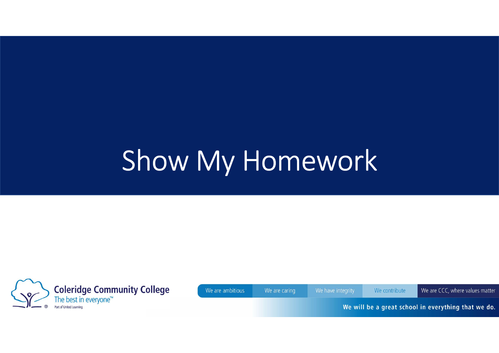# Show My Homework



We are ambitious

We are caring

We contribute

We are CCC, where values matter

We will be a great school in everything that we do.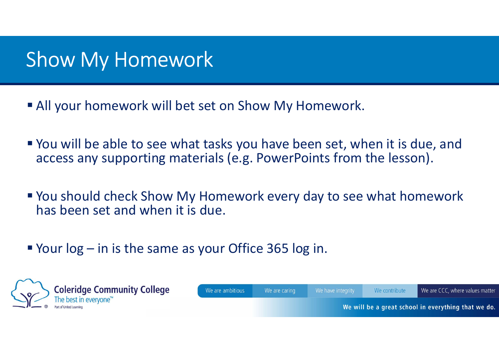## Show My Homework

- All your homework will bet set on Show My Homework.
- You will be able to see what tasks you have been set, when it is due, and access any supporting materials (e.g. PowerPoints from the lesson). ■ All your homework will bet set on Show My Homework.<br>
■ You will be able to see what tasks you have been set, whenecess any supporting materials (e.g. PowerPoints from the secarcity of the same as your Office 365 log in.
- You should check Show My Homework every day to see what homework has been set and when it is due.
- 

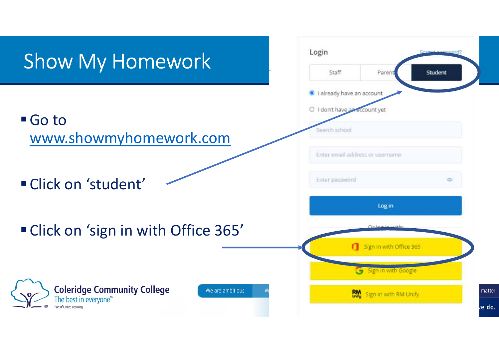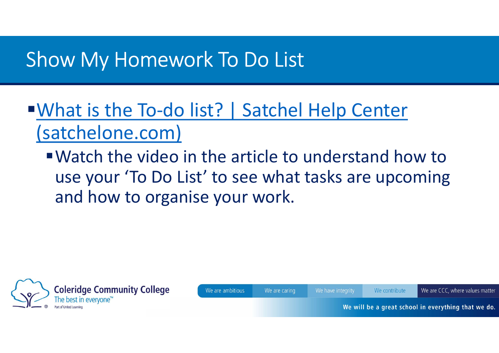#### Show My Homework To Do List

## ■What is the To-do list? | Satchel Help Center (satchelone.com)

Watch the video in the article to understand how to use your 'To Do List' to see what tasks are upcoming and how to organise your work.



We are ambitious We are caring

We have integrity

We contribute

We are CCC, where values matter

We will be a great school in everything that we do.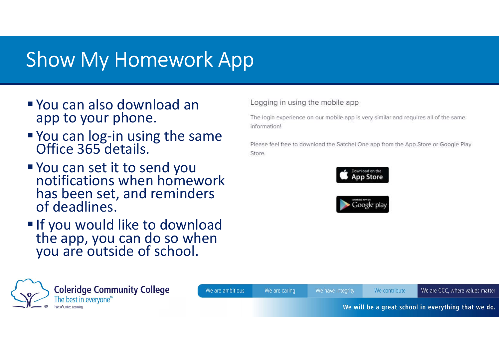# Show My Homework App

- You can also download an app to your phone.
- You can log-in using the same Office 365 details.
- You can set it to send you notifications when homework has been set, and reminders of deadlines.
- If you would like to download<br>the app, you can do so when<br>you are outside of school.

Logging in using the mobile app

The login experience on our mobile app is very similar and requires all of the same information!

Please feel free to download the Satchel One app from the App Store or Google Play Store.